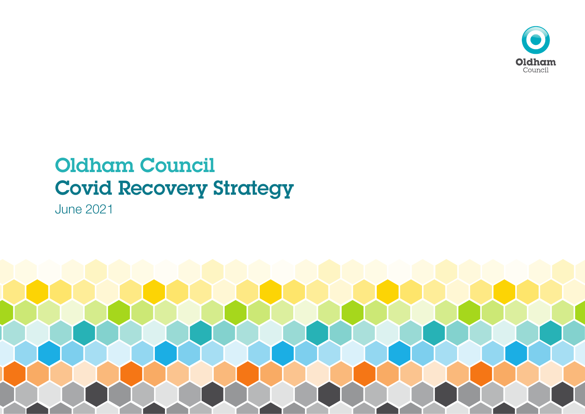

# Oldham Council Covid Recovery Strategy

June 2021

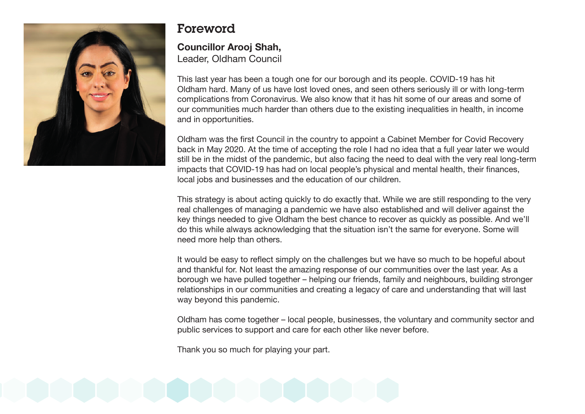

# Foreword

#### **Councillor Arooj Shah,**  Leader, Oldham Council

This last year has been a tough one for our borough and its people. COVID-19 has hit Oldham hard. Many of us have lost loved ones, and seen others seriously ill or with long-term complications from Coronavirus. We also know that it has hit some of our areas and some of our communities much harder than others due to the existing inequalities in health, in income and in opportunities.

Oldham was the first Council in the country to appoint a Cabinet Member for Covid Recovery back in May 2020. At the time of accepting the role I had no idea that a full year later we would still be in the midst of the pandemic, but also facing the need to deal with the very real long-term impacts that COVID-19 has had on local people's physical and mental health, their finances, local jobs and businesses and the education of our children.

This strategy is about acting quickly to do exactly that. While we are still responding to the very real challenges of managing a pandemic we have also established and will deliver against the key things needed to give Oldham the best chance to recover as quickly as possible. And we'll do this while always acknowledging that the situation isn't the same for everyone. Some will need more help than others.

It would be easy to reflect simply on the challenges but we have so much to be hopeful about and thankful for. Not least the amazing response of our communities over the last year. As a borough we have pulled together – helping our friends, family and neighbours, building stronger relationships in our communities and creating a legacy of care and understanding that will last way beyond this pandemic.

Oldham has come together – local people, businesses, the voluntary and community sector and public services to support and care for each other like never before.

Thank you so much for playing your part.

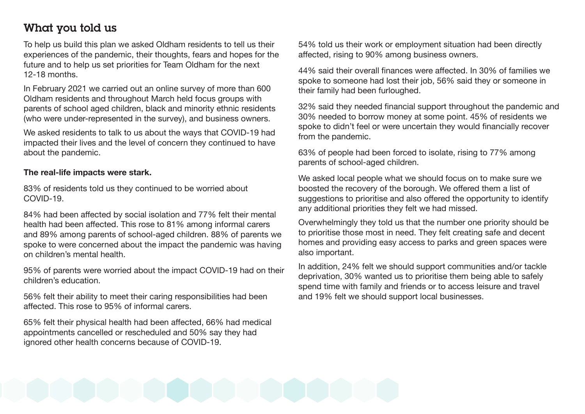# What you told us

To help us build this plan we asked Oldham residents to tell us their experiences of the pandemic, their thoughts, fears and hopes for the future and to help us set priorities for Team Oldham for the next 12-18 months.

In February 2021 we carried out an online survey of more than 600 Oldham residents and throughout March held focus groups with parents of school aged children, black and minority ethnic residents (who were under-represented in the survey), and business owners.

We asked residents to talk to us about the ways that COVID-19 had impacted their lives and the level of concern they continued to have about the pandemic.

#### **The real-life impacts were stark.**

83% of residents told us they continued to be worried about COVID-19.

84% had been affected by social isolation and 77% felt their mental health had been affected. This rose to 81% among informal carers and 89% among parents of school-aged children. 88% of parents we spoke to were concerned about the impact the pandemic was having on children's mental health.

95% of parents were worried about the impact COVID-19 had on their children's education.

56% felt their ability to meet their caring responsibilities had been affected. This rose to 95% of informal carers.

65% felt their physical health had been affected, 66% had medical appointments cancelled or rescheduled and 50% say they had ignored other health concerns because of COVID-19.

54% told us their work or employment situation had been directly affected, rising to 90% among business owners.

44% said their overall finances were affected. In 30% of families we spoke to someone had lost their job, 56% said they or someone in their family had been furloughed.

32% said they needed financial support throughout the pandemic and 30% needed to borrow money at some point. 45% of residents we spoke to didn't feel or were uncertain they would financially recover from the pandemic.

63% of people had been forced to isolate, rising to 77% among parents of school-aged children.

We asked local people what we should focus on to make sure we boosted the recovery of the borough. We offered them a list of suggestions to prioritise and also offered the opportunity to identify any additional priorities they felt we had missed.

Overwhelmingly they told us that the number one priority should be to prioritise those most in need. They felt creating safe and decent homes and providing easy access to parks and green spaces were also important.

In addition, 24% felt we should support communities and/or tackle deprivation, 30% wanted us to prioritise them being able to safely spend time with family and friends or to access leisure and travel and 19% felt we should support local businesses.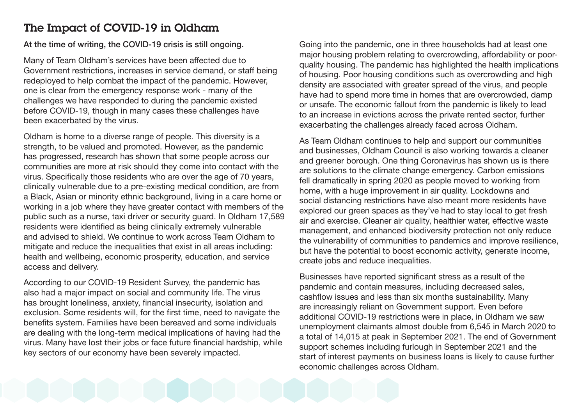# The Impact of COVID-19 in Oldham

#### At the time of writing, the COVID-19 crisis is still ongoing.

Many of Team Oldham's services have been affected due to Government restrictions, increases in service demand, or staff being redeployed to help combat the impact of the pandemic. However, one is clear from the emergency response work - many of the challenges we have responded to during the pandemic existed before COVID-19, though in many cases these challenges have been exacerbated by the virus.

Oldham is home to a diverse range of people. This diversity is a strength, to be valued and promoted. However, as the pandemic has progressed, research has shown that some people across our communities are more at risk should they come into contact with the virus. Specifically those residents who are over the age of 70 years, clinically vulnerable due to a pre-existing medical condition, are from a Black, Asian or minority ethnic background, living in a care home or working in a job where they have greater contact with members of the public such as a nurse, taxi driver or security guard. In Oldham 17,589 residents were identified as being clinically extremely vulnerable and advised to shield. We continue to work across Team Oldham to mitigate and reduce the inequalities that exist in all areas including: health and wellbeing, economic prosperity, education, and service access and delivery.

According to our COVID-19 Resident Survey, the pandemic has also had a major impact on social and community life. The virus has brought loneliness, anxiety, financial insecurity, isolation and exclusion. Some residents will, for the first time, need to navigate the benefits system. Families have been bereaved and some individuals are dealing with the long-term medical implications of having had the virus. Many have lost their jobs or face future financial hardship, while key sectors of our economy have been severely impacted.

Going into the pandemic, one in three households had at least one major housing problem relating to overcrowding, affordability or poorquality housing. The pandemic has highlighted the health implications of housing. Poor housing conditions such as overcrowding and high density are associated with greater spread of the virus, and people have had to spend more time in homes that are overcrowded, damp or unsafe. The economic fallout from the pandemic is likely to lead to an increase in evictions across the private rented sector, further exacerbating the challenges already faced across Oldham.

As Team Oldham continues to help and support our communities and businesses, Oldham Council is also working towards a cleaner and greener borough. One thing Coronavirus has shown us is there are solutions to the climate change emergency. Carbon emissions fell dramatically in spring 2020 as people moved to working from home, with a huge improvement in air quality. Lockdowns and social distancing restrictions have also meant more residents have explored our green spaces as they've had to stay local to get fresh air and exercise. Cleaner air quality, healthier water, effective waste management, and enhanced biodiversity protection not only reduce the vulnerability of communities to pandemics and improve resilience, but have the potential to boost economic activity, generate income, create jobs and reduce inequalities.

Businesses have reported significant stress as a result of the pandemic and contain measures, including decreased sales, cashflow issues and less than six months sustainability. Many are increasingly reliant on Government support. Even before additional COVID-19 restrictions were in place, in Oldham we saw unemployment claimants almost double from 6,545 in March 2020 to a total of 14,015 at peak in September 2021. The end of Government support schemes including furlough in September 2021 and the start of interest payments on business loans is likely to cause further economic challenges across Oldham.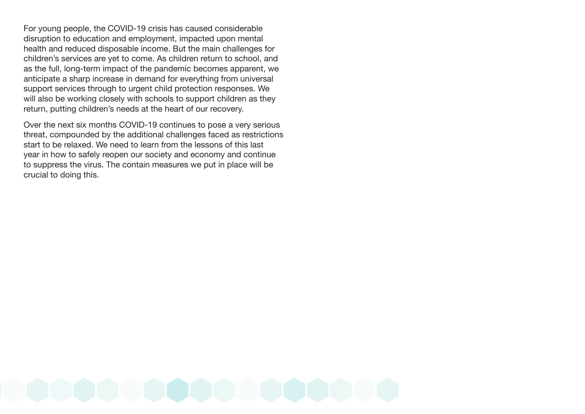For young people, the COVID-19 crisis has caused considerable disruption to education and employment, impacted upon mental health and reduced disposable income. But the main challenges for children's services are yet to come. As children return to school, and as the full, long-term impact of the pandemic becomes apparent, we anticipate a sharp increase in demand for everything from universal support services through to urgent child protection responses. We will also be working closely with schools to support children as they return, putting children's needs at the heart of our recovery.

Over the next six months COVID-19 continues to pose a very serious threat, compounded by the additional challenges faced as restrictions start to be relaxed. We need to learn from the lessons of this last year in how to safely reopen our society and economy and continue to suppress the virus. The contain measures we put in place will be crucial to doing this.

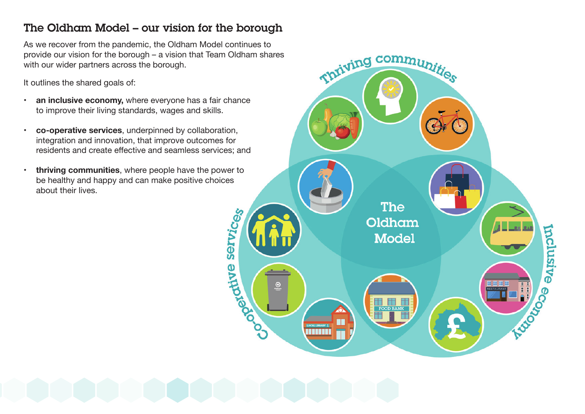# The Oldham Model – our vision for the borough

As we recover from the pandemic, the Oldham Model continues to provide our vision for the borough – a vision that Team Oldham shares with our wider partners across the borough.

It outlines the shared goals of:

- **an inclusive economy,** where everyone has a fair chance to improve their living standards, wages and skills.
- **• co-operative services**, underpinned by collaboration, integration and innovation, that improve outcomes for residents and create effective and seamless services; and
- **• thriving communities**, where people have the power to be healthy and happy and can make positive choices about their lives.

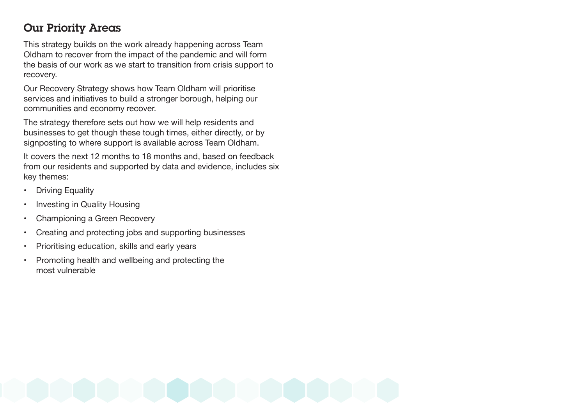# Our Priority Areas

This strategy builds on the work already happening across Team Oldham to recover from the impact of the pandemic and will form the basis of our work as we start to transition from crisis support to recovery.

Our Recovery Strategy shows how Team Oldham will prioritise services and initiatives to build a stronger borough, helping our communities and economy recover.

The strategy therefore sets out how we will help residents and businesses to get though these tough times, either directly, or by signposting to where support is available across Team Oldham.

It covers the next 12 months to 18 months and, based on feedback from our residents and supported by data and evidence, includes six key themes:

- **Driving Equality**
- Investing in Quality Housing
- Championing a Green Recovery
- Creating and protecting jobs and supporting businesses
- Prioritising education, skills and early years
- Promoting health and wellbeing and protecting the most vulnerable

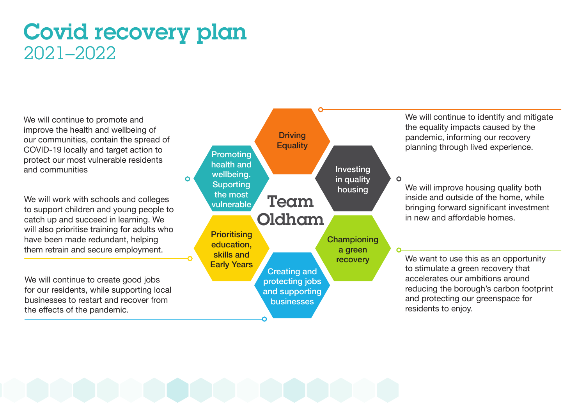# Covid recovery plan 2021–2022

We will continue to promote and improve the health and wellbeing of our communities, contain the spread of COVID-19 locally and target action to protect our most vulnerable residents and communities

We will work with schools and colleges to support children and young people to catch up and succeed in learning. We will also prioritise training for adults who have been made redundant, helping them retrain and secure employment.

We will continue to create good jobs for our residents, while supporting local businesses to restart and recover from the effects of the pandemic.



We will continue to identify and mitigate the equality impacts caused by the pandemic, informing our recovery planning through lived experience.

We will improve housing quality both inside and outside of the home, while bringing forward significant investment in new and affordable homes.

We want to use this as an opportunity to stimulate a green recovery that accelerates our ambitions around reducing the borough's carbon footprint and protecting our greenspace for residents to enjoy.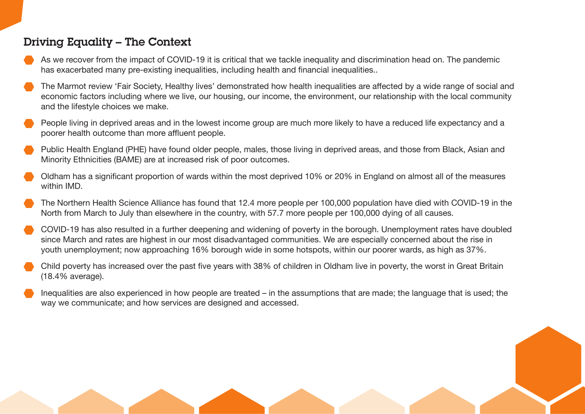# Driving Equality – The Context

- As we recover from the impact of COVID-19 it is critical that we tackle inequality and discrimination head on. The pandemic has exacerbated many pre-existing inequalities, including health and financial inequalities..
- The Marmot review 'Fair Society, Healthy lives' demonstrated how health inequalities are affected by a wide range of social and economic factors including where we live, our housing, our income, the environment, our relationship with the local community and the lifestyle choices we make.
- People living in deprived areas and in the lowest income group are much more likely to have a reduced life expectancy and a poorer health outcome than more affluent people.
- Public Health England (PHE) have found older people, males, those living in deprived areas, and those from Black, Asian and Minority Ethnicities (BAME) are at increased risk of poor outcomes.
- Oldham has a significant proportion of wards within the most deprived 10% or 20% in England on almost all of the measures within IMD.
- The Northern Health Science Alliance has found that 12.4 more people per 100,000 population have died with COVID-19 in the North from March to July than elsewhere in the country, with 57.7 more people per 100,000 dying of all causes.
- COVID-19 has also resulted in a further deepening and widening of poverty in the borough. Unemployment rates have doubled since March and rates are highest in our most disadvantaged communities. We are especially concerned about the rise in youth unemployment; now approaching 16% borough wide in some hotspots, within our poorer wards, as high as 37%.
- Child poverty has increased over the past five years with 38% of children in Oldham live in poverty, the worst in Great Britain (18.4% average).
- Inequalities are also experienced in how people are treated in the assumptions that are made; the language that is used; the way we communicate; and how services are designed and accessed.

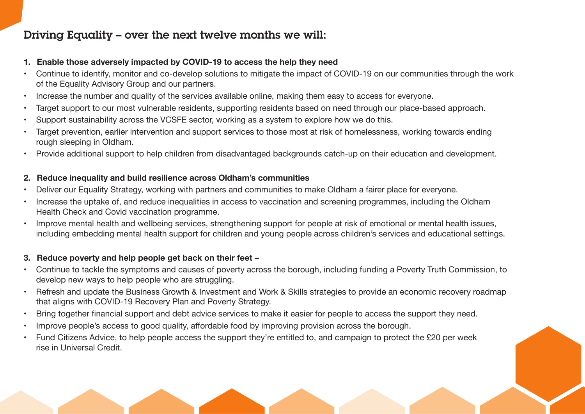# Driving Equality – over the next twelve months we will:

#### **1. Enable those adversely impacted by COVID-19 to access the help they need**

- Continue to identify, monitor and co-develop solutions to mitigate the impact of COVID-19 on our communities through the work of the Equality Advisory Group and our partners.
- Increase the number and quality of the services available online, making them easy to access for everyone.
- Target support to our most vulnerable residents, supporting residents based on need through our place-based approach.
- Support sustainability across the VCSFE sector, working as a system to explore how we do this.
- Target prevention, earlier intervention and support services to those most at risk of homelessness, working towards ending rough sleeping in Oldham.
- Provide additional support to help children from disadvantaged backgrounds catch-up on their education and development.

#### **2. Reduce inequality and build resilience across Oldham's communities**

- Deliver our Equality Strategy, working with partners and communities to make Oldham a fairer place for everyone.
- Increase the uptake of, and reduce inequalities in access to vaccination and screening programmes, including the Oldham Health Check and Covid vaccination programme.
- Improve mental health and wellbeing services, strengthening support for people at risk of emotional or mental health issues, including embedding mental health support for children and young people across children's services and educational settings.

#### **3. Reduce poverty and help people get back on their feet –**

- Continue to tackle the symptoms and causes of poverty across the borough, including funding a Poverty Truth Commission, to develop new ways to help people who are struggling.
- Refresh and update the Business Growth & Investment and Work & Skills strategies to provide an economic recovery roadmap that aligns with COVID-19 Recovery Plan and Poverty Strategy.
- Bring together financial support and debt advice services to make it easier for people to access the support they need.
- Improve people's access to good quality, affordable food by improving provision across the borough.
- Fund Citizens Advice, to help people access the support they're entitled to, and campaign to protect the £20 per week rise in Universal Credit.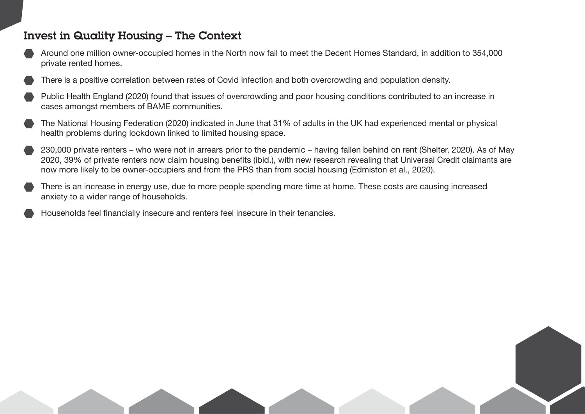# Invest in Quality Housing – The Context

- Around one million owner-occupied homes in the North now fail to meet the Decent Homes Standard, in addition to 354,000 private rented homes.
- There is a positive correlation between rates of Covid infection and both overcrowding and population density.
- Public Health England (2020) found that issues of overcrowding and poor housing conditions contributed to an increase in cases amongst members of BAME communities.
- The National Housing Federation (2020) indicated in June that 31% of adults in the UK had experienced mental or physical health problems during lockdown linked to limited housing space.
- 230,000 private renters who were not in arrears prior to the pandemic having fallen behind on rent (Shelter, 2020). As of May 2020, 39% of private renters now claim housing benefits (ibid.), with new research revealing that Universal Credit claimants are now more likely to be owner-occupiers and from the PRS than from social housing (Edmiston et al., 2020).
- There is an increase in energy use, due to more people spending more time at home. These costs are causing increased anxiety to a wider range of households.
- Households feel financially insecure and renters feel insecure in their tenancies.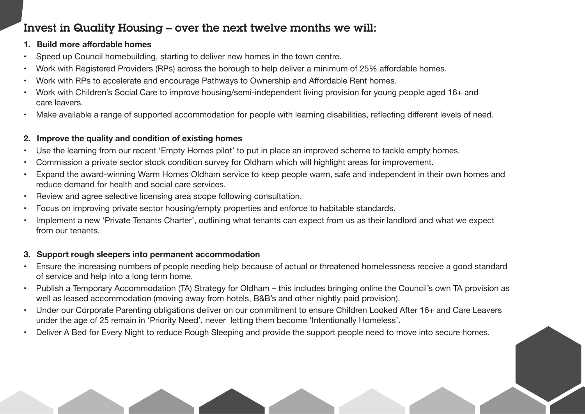# Invest in Quality Housing – over the next twelve months we will:

- **1. Build more affordable homes**
- Speed up Council homebuilding, starting to deliver new homes in the town centre.
- Work with Registered Providers (RPs) across the borough to help deliver a minimum of 25% affordable homes.
- Work with RPs to accelerate and encourage Pathways to Ownership and Affordable Rent homes.
- Work with Children's Social Care to improve housing/semi-independent living provision for young people aged 16+ and care leavers.
- Make available a range of supported accommodation for people with learning disabilities, reflecting different levels of need.

### **2. Improve the quality and condition of existing homes**

- Use the learning from our recent 'Empty Homes pilot' to put in place an improved scheme to tackle empty homes.
- Commission a private sector stock condition survey for Oldham which will highlight areas for improvement.
- Expand the award-winning Warm Homes Oldham service to keep people warm, safe and independent in their own homes and reduce demand for health and social care services.
- Review and agree selective licensing area scope following consultation.
- Focus on improving private sector housing/empty properties and enforce to habitable standards.
- Implement a new 'Private Tenants Charter', outlining what tenants can expect from us as their landlord and what we expect from our tenants.

#### **3. Support rough sleepers into permanent accommodation**

- Ensure the increasing numbers of people needing help because of actual or threatened homelessness receive a good standard of service and help into a long term home.
- Publish a Temporary Accommodation (TA) Strategy for Oldham this includes bringing online the Council's own TA provision a s well as leased accommodation (moving away from hotels, B&B's and other nightly paid provision).
- Under our Corporate Parenting obligations deliver on our commitment to ensure Children Looked After 16+ and Care Leavers under the age of 25 remain in 'Priority Need', never letting them become 'Intentionally Homeless'.
- Deliver A Bed for Every Night to reduce Rough Sleeping and provide the support people need to move into secure homes.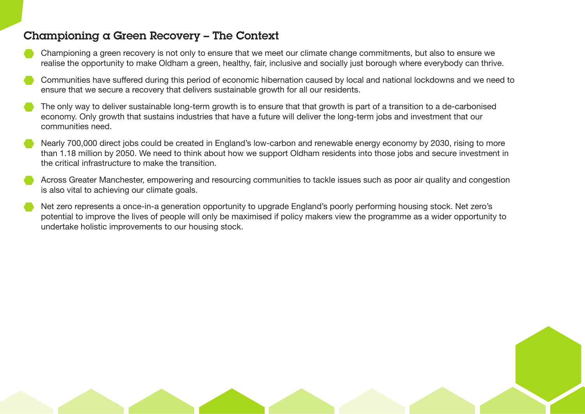# Championing a Green Recovery – The Context

- Championing a green recovery is not only to ensure that we meet our climate change commitments, but also to ensure we realise the opportunity to make Oldham a green, healthy, fair, inclusive and socially just borough where everybody can thrive.
- Communities have suffered during this period of economic hibernation caused by local and national lockdowns and we need to ensure that we secure a recovery that delivers sustainable growth for all our residents.
- The only way to deliver sustainable long-term growth is to ensure that that growth is part of a transition to a de-carbonised economy. Only growth that sustains industries that have a future will deliver the long-term jobs and investment that our communities need.
- Nearly 700,000 direct jobs could be created in England's low-carbon and renewable energy economy by 2030, rising to more than 1.18 million by 2050. We need to think about how we support Oldham residents into those jobs and secure investment in the critical infrastructure to make the transition.
- Across Greater Manchester, empowering and resourcing communities to tackle issues such as poor air quality and congestion is also vital to achieving our climate goals.
- Net zero represents a once-in-a generation opportunity to upgrade England's poorly performing housing stock. Net zero's potential to improve the lives of people will only be maximised if policy makers view the programme as a wider opportunity to undertake holistic improvements to our housing stock.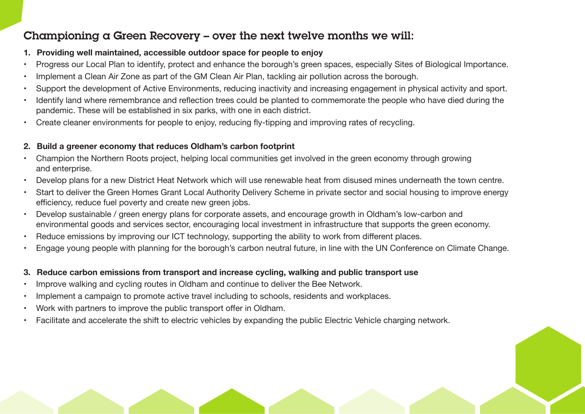# Championing a Green Recovery – over the next twelve months we will:

#### **1. Providing well maintained, accessible outdoor space for people to enjoy**

- Progress our Local Plan to identify, protect and enhance the borough's green spaces, especially Sites of Biological Importance.
- Implement a Clean Air Zone as part of the GM Clean Air Plan, tackling air pollution across the borough.
- Support the development of Active Environments, reducing inactivity and increasing engagement in physical activity and sport.
- Identify land where remembrance and reflection trees could be planted to commemorate the people who have died during the pandemic. These will be established in six parks, with one in each district.
- Create cleaner environments for people to enjoy, reducing fly-tipping and improving rates of recycling.

#### **2. Build a greener economy that reduces Oldham's carbon footprint**

- Champion the Northern Roots project, helping local communities get involved in the green economy through growing and enterprise.
- Develop plans for a new District Heat Network which will use renewable heat from disused mines underneath the town centre.
- Start to deliver the Green Homes Grant Local Authority Delivery Scheme in private sector and social housing to improve energy efficiency, reduce fuel poverty and create new green jobs.
- Develop sustainable / green energy plans for corporate assets, and encourage growth in Oldham's low-carbon and environmental goods and services sector, encouraging local investment in infrastructure that supports the green economy.
- Reduce emissions by improving our ICT technology, supporting the ability to work from different places.
- Engage young people with planning for the borough's carbon neutral future, in line with the UN Conference on Climate Change.

#### **3. Reduce carbon emissions from transport and increase cycling, walking and public transport use**

- Improve walking and cycling routes in Oldham and continue to deliver the Bee Network.
- Implement a campaign to promote active travel including to schools, residents and workplaces.
- Work with partners to improve the public transport offer in Oldham.
- Facilitate and accelerate the shift to electric vehicles by expanding the public Electric Vehicle charging network.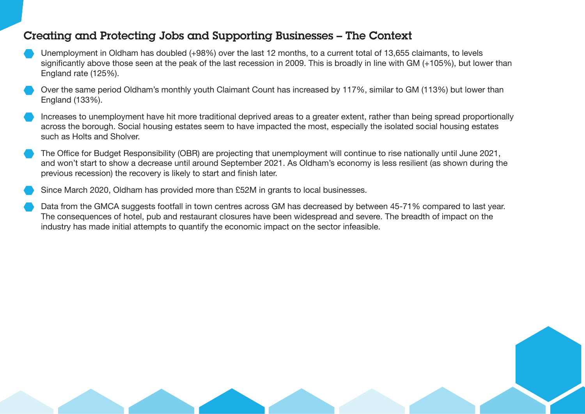# Creating and Protecting Jobs and Supporting Businesses – The Context

- Unemployment in Oldham has doubled (+98%) over the last 12 months, to a current total of 13,655 claimants, to levels significantly above those seen at the peak of the last recession in 2009. This is broadly in line with GM (+105%), but lower than England rate (125%).
- Over the same period Oldham's monthly youth Claimant Count has increased by 117%, similar to GM (113%) but lower than England (133%).
- Increases to unemployment have hit more traditional deprived areas to a greater extent, rather than being spread proportionally across the borough. Social housing estates seem to have impacted the most, especially the isolated social housing estates such as Holts and Sholver.
- The Office for Budget Responsibility (OBR) are projecting that unemployment will continue to rise nationally until June 2021, and won't start to show a decrease until around September 2021. As Oldham's economy is less resilient (as shown during the previous recession) the recovery is likely to start and finish later.
- Since March 2020, Oldham has provided more than £52M in grants to local businesses.
- Data from the GMCA suggests footfall in town centres across GM has decreased by between 45-71% compared to last year. The consequences of hotel, pub and restaurant closures have been widespread and severe. The breadth of impact on the industry has made initial attempts to quantify the economic impact on the sector infeasible.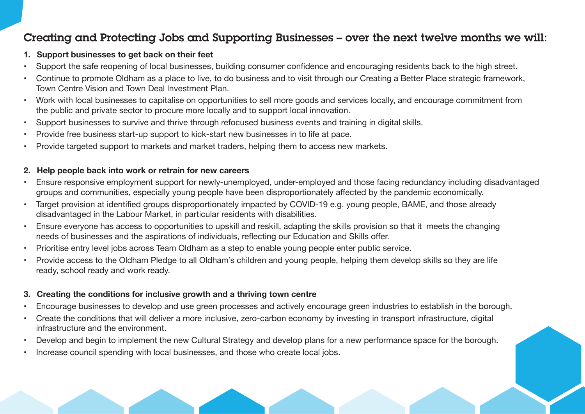# Creating and Protecting Jobs and Supporting Businesses – over the next twelve months we will:

#### **1. Support businesses to get back on their feet**

- Support the safe reopening of local businesses, building consumer confidence and encouraging residents back to the high street.
- Continue to promote Oldham as a place to live, to do business and to visit through our Creating a Better Place strategic framework, Town Centre Vision and Town Deal Investment Plan.
- Work with local businesses to capitalise on opportunities to sell more goods and services locally, and encourage commitment from the public and private sector to procure more locally and to support local innovation.
- Support businesses to survive and thrive through refocused business events and training in digital skills.
- Provide free business start-up support to kick-start new businesses in to life at pace.
- Provide targeted support to markets and market traders, helping them to access new markets.

#### **2. Help people back into work or retrain for new careers**

- Ensure responsive employment support for newly-unemployed, under-employed and those facing redundancy including disadvantaged groups and communities, especially young people have been disproportionately affected by the pandemic economically.
- Target provision at identified groups disproportionately impacted by COVID-19 e.g. young people, BAME, and those already disadvantaged in the Labour Market, in particular residents with disabilities.
- Ensure everyone has access to opportunities to upskill and reskill, adapting the skills provision so that it meets the changing needs of businesses and the aspirations of individuals, reflecting our Education and Skills offer.
- Prioritise entry level jobs across Team Oldham as a step to enable young people enter public service.
- Provide access to the Oldham Pledge to all Oldham's children and young people, helping them develop skills so they are life ready, school ready and work ready.

#### **3. Creating the conditions for inclusive growth and a thriving town centre**

- Encourage businesses to develop and use green processes and actively encourage green industries to establish in the borough.
- Create the conditions that will deliver a more inclusive, zero-carbon economy by investing in transport infrastructure, digital infrastructure and the environment.
- Develop and begin to implement the new Cultural Strategy and develop plans for a new performance space for the borough.
- Increase council spending with local businesses, and those who create local jobs.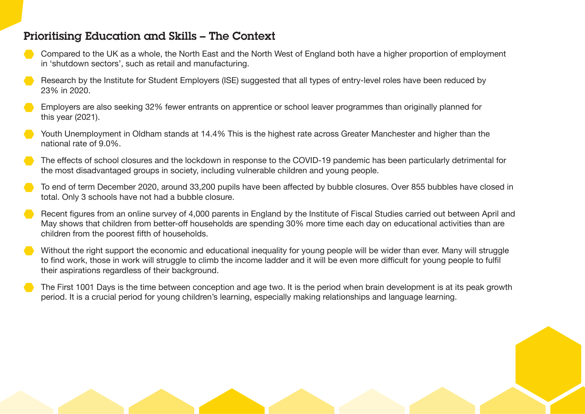# Prioritising Education and Skills – The Context

- Compared to the UK as a whole, the North East and the North West of England both have a higher proportion of employment in 'shutdown sectors', such as retail and manufacturing.
- Research by the Institute for Student Employers (ISE) suggested that all types of entry-level roles have been reduced by 23% in 2020.
- Employers are also seeking 32% fewer entrants on apprentice or school leaver programmes than originally planned for this year (2021).
- Youth Unemployment in Oldham stands at 14.4% This is the highest rate across Greater Manchester and higher than the national rate of 9.0%.
- The effects of school closures and the lockdown in response to the COVID-19 pandemic has been particularly detrimental for the most disadvantaged groups in society, including vulnerable children and young people.
- To end of term December 2020, around 33,200 pupils have been affected by bubble closures. Over 855 bubbles have closed in total. Only 3 schools have not had a bubble closure.
- Recent figures from an online survey of 4,000 parents in England by the Institute of Fiscal Studies carried out between April and May shows that children from better-off households are spending 30% more time each day on educational activities than are children from the poorest fifth of households.
- Without the right support the economic and educational inequality for young people will be wider than ever. Many will struggle to find work, those in work will struggle to climb the income ladder and it will be even more difficult for young people to fulfil their aspirations regardless of their background.
- The First 1001 Days is the time between conception and age two. It is the period when brain development is at its peak growth period. It is a crucial period for young children's learning, especially making relationships and language learning.

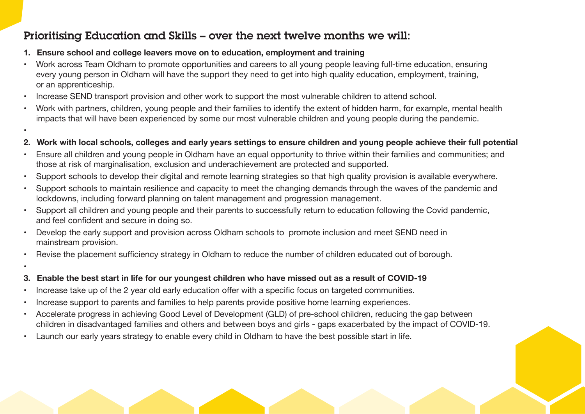# Prioritising Education and Skills – over the next twelve months we will:

#### **1. Ensure school and college leavers move on to education, employment and training**

- Work across Team Oldham to promote opportunities and careers to all young people leaving full-time education, ensuring every young person in Oldham will have the support they need to get into high quality education, employment, training, or an apprenticeship.
- Increase SEND transport provision and other work to support the most vulnerable children to attend school.
- Work with partners, children, young people and their families to identify the extent of hidden harm, for example, mental health impacts that will have been experienced by some our most vulnerable children and young people during the pandemic.
- •
- **2. Work with local schools, colleges and early years settings to ensure children and young people achieve their full potential**
- Ensure all children and young people in Oldham have an equal opportunity to thrive within their families and communities; and those at risk of marginalisation, exclusion and underachievement are protected and supported.
- Support schools to develop their digital and remote learning strategies so that high quality provision is available everywhere.
- Support schools to maintain resilience and capacity to meet the changing demands through the waves of the pandemic and lockdowns, including forward planning on talent management and progression management.
- Support all children and young people and their parents to successfully return to education following the Covid pandemic, and feel confident and secure in doing so.
- Develop the early support and provision across Oldham schools to promote inclusion and meet SEND need in mainstream provision.
- Revise the placement sufficiency strategy in Oldham to reduce the number of children educated out of borough.
- •
- **3. Enable the best start in life for our youngest children who have missed out as a result of COVID-19**
- Increase take up of the 2 year old early education offer with a specific focus on targeted communities.
- Increase support to parents and families to help parents provide positive home learning experiences.
- Accelerate progress in achieving Good Level of Development (GLD) of pre-school children, reducing the gap between children in disadvantaged families and others and between boys and girls - gaps exacerbated by the impact of COVID-19 .
- Launch our early years strategy to enable every child in Oldham to have the best possible start in life.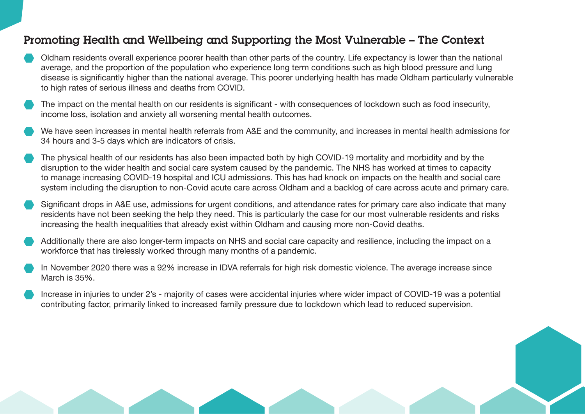## Promoting Health and Wellbeing and Supporting the Most Vulnerable – The Context

- Oldham residents overall experience poorer health than other parts of the country. Life expectancy is lower than the national average, and the proportion of the population who experience long term conditions such as high blood pressure and lung disease is significantly higher than the national average. This poorer underlying health has made Oldham particularly vulnerable to high rates of serious illness and deaths from COVID.
- The impact on the mental health on our residents is significant with consequences of lockdown such as food insecurity, income loss, isolation and anxiety all worsening mental health outcomes.
- We have seen increases in mental health referrals from A&E and the community, and increases in mental health admissions for 34 hours and 3-5 days which are indicators of crisis.
- The physical health of our residents has also been impacted both by high COVID-19 mortality and morbidity and by the disruption to the wider health and social care system caused by the pandemic. The NHS has worked at times to capacity to manage increasing COVID-19 hospital and ICU admissions. This has had knock on impacts on the health and social care system including the disruption to non-Covid acute care across Oldham and a backlog of care across acute and primary care.
- Significant drops in A&E use, admissions for urgent conditions, and attendance rates for primary care also indicate that many residents have not been seeking the help they need. This is particularly the case for our most vulnerable residents and risks increasing the health inequalities that already exist within Oldham and causing more non-Covid deaths.
- Additionally there are also longer-term impacts on NHS and social care capacity and resilience, including the impact on a workforce that has tirelessly worked through many months of a pandemic.
- In November 2020 there was a 92% increase in IDVA referrals for high risk domestic violence. The average increase since March is 35%.
- Increase in injuries to under 2's majority of cases were accidental injuries where wider impact of COVID-19 was a potential contributing factor, primarily linked to increased family pressure due to lockdown which lead to reduced supervision.

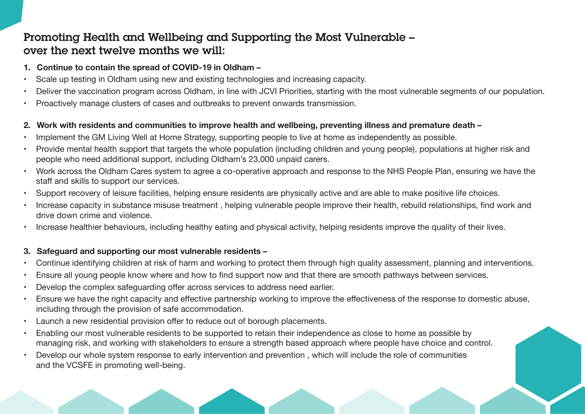# Promoting Health and Wellbeing and Supporting the Most Vulnerable – over the next twelve months we will:

- **1. Continue to contain the spread of COVID-19 in Oldham**
- Scale up testing in Oldham using new and existing technologies and increasing capacity.
- Deliver the vaccination program across Oldham, in line with JCVI Priorities, starting with the most vulnerable segments of our population.
- Proactively manage clusters of cases and outbreaks to prevent onwards transmission.

### **2. Work with residents and communities to improve health and wellbeing, preventing illness and premature death –**

- Implement the GM Living Well at Home Strategy, supporting people to live at home as independently as possible.
- Provide mental health support that targets the whole population (including children and young people), populations at higher risk and people who need additional support, including Oldham's 23,000 unpaid carers.
- Work across the Oldham Cares system to agree a co-operative approach and response to the NHS People Plan, ensuring we have the staff and skills to support our services.
- Support recovery of leisure facilities, helping ensure residents are physically active and are able to make positive life choices.
- Increase capacity in substance misuse treatment , helping vulnerable people improve their health, rebuild relationships, find work and drive down crime and violence.
- Increase healthier behaviours, including healthy eating and physical activity, helping residents improve the quality of their lives.

#### **3. Safeguard and supporting our most vulnerable residents –**

- Continue identifying children at risk of harm and working to protect them through high quality assessment, planning and interventions.
- Ensure all young people know where and how to find support now and that there are smooth pathways between services.
- Develop the complex safeguarding offer across services to address need earlier.
- Ensure we have the right capacity and effective partnership working to improve the effectiveness of the response to domestic abuse, including through the provision of safe accommodation.
- Launch a new residential provision offer to reduce out of borough placements.
- Enabling our most vulnerable residents to be supported to retain their independence as close to home as possible by managing risk, and working with stakeholders to ensure a strength based approach where people have choice and control.
- Develop our whole system response to early intervention and prevention , which will include the role of communities and the VCSFE in promoting well-being.